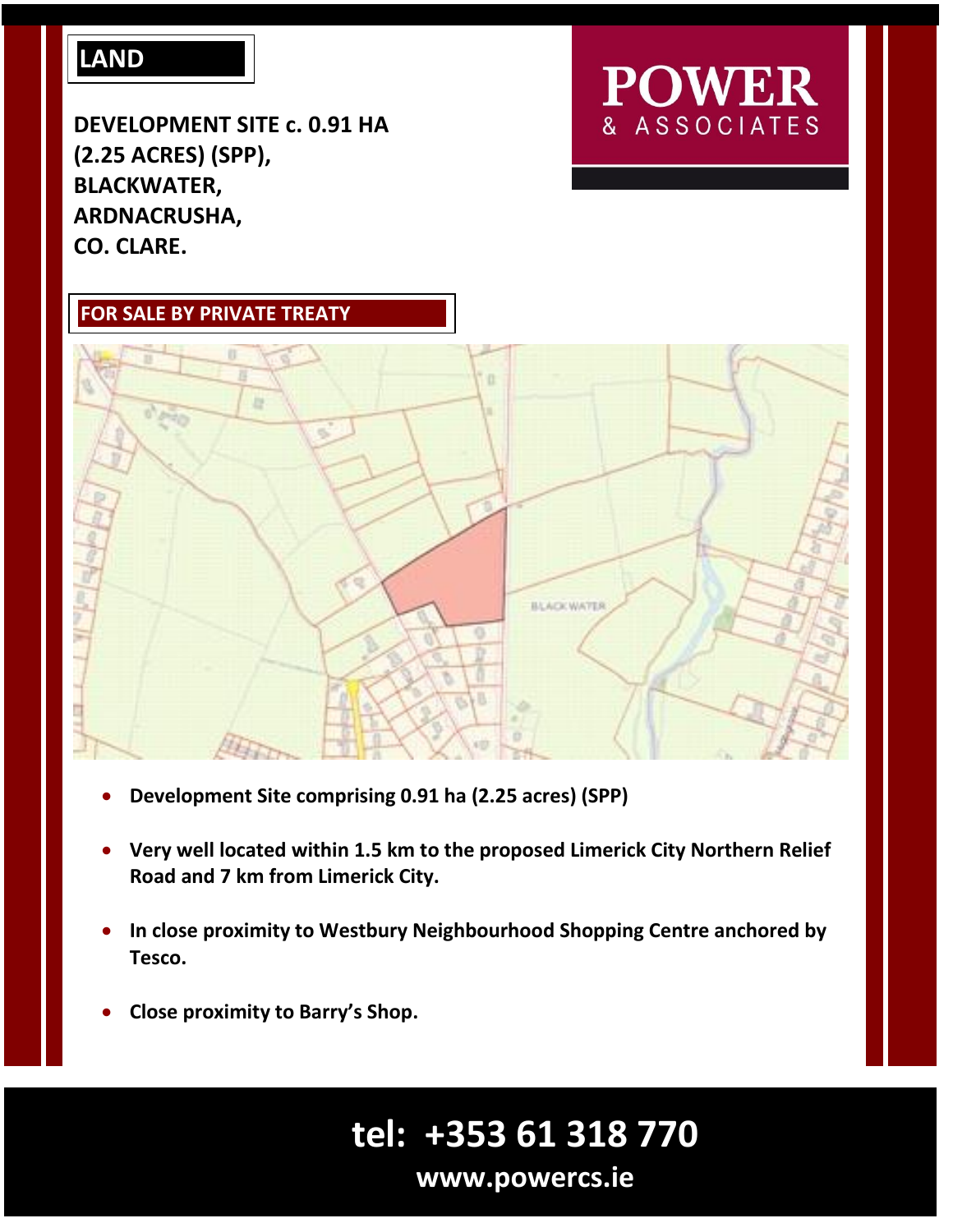### **LAND**

**DEVELOPMENT SITE c. 0.91 HA (2.25 ACRES) (SPP), BLACKWATER, ARDNACRUSHA, CO. CLARE.**

## **POWER** & ASSOCIATES





- **Development Site comprising 0.91 ha (2.25 acres) (SPP)**
- **Very well located within 1.5 km to the proposed Limerick City Northern Relief Road and 7 km from Limerick City.**
- **In close proximity to Westbury Neighbourhood Shopping Centre anchored by Tesco.**
- **Close proximity to Barry's Shop.**

# **tel: +353 61 318 770**

**www.powercs.ie**